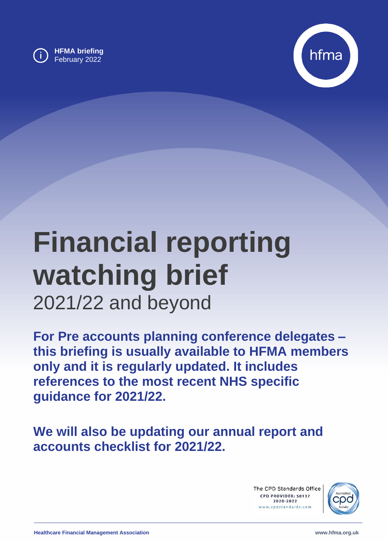

**HFMA briefing** February 2022



# **Financial reporting watching brief** 2021/22 and beyond

**For Pre accounts planning conference delegates – this briefing is usually available to HFMA members only and it is regularly updated. It includes references to the most recent NHS specific guidance for 2021/22.**

**We will also be updating our annual report and accounts checklist for 2021/22.**

> The CPD Standards Office CPD PROVIDER: 50137 2020-2022 www.cpdstandards.com

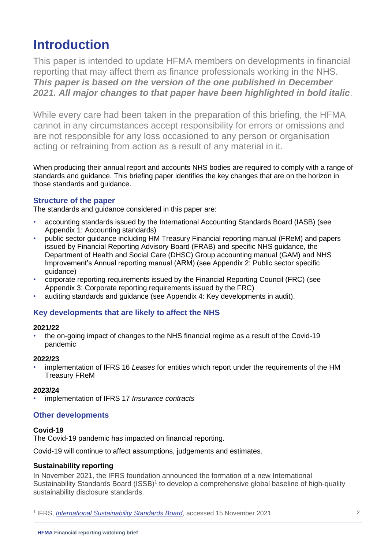## **Introduction**

This paper is intended to update HFMA members on developments in financial reporting that may affect them as finance professionals working in the NHS. *This paper is based on the version of the one published in December 2021. All major changes to that paper have been highlighted in bold italic*.

While every care had been taken in the preparation of this briefing, the HFMA cannot in any circumstances accept responsibility for errors or omissions and are not responsible for any loss occasioned to any person or organisation acting or refraining from action as a result of any material in it.

When producing their annual report and accounts NHS bodies are required to comply with a range of standards and guidance. This briefing paper identifies the key changes that are on the horizon in those standards and guidance.

#### **Structure of the paper**

The standards and guidance considered in this paper are:

- accounting standards issued by the International Accounting Standards Board (IASB) (see [Appendix 1: Accounting standards\)](#page-3-0)
- public sector guidance including HM Treasury Financial reporting manual (FReM) and papers issued by Financial Reporting Advisory Board (FRAB) and specific NHS guidance, the Department of Health and Social Care (DHSC) Group accounting manual (GAM) and NHS Improvement's Annual reporting manual (ARM) (see [Appendix 2: Public sector specific](#page-10-0)  [guidance\)](#page-10-0)
- corporate reporting requirements issued by the Financial Reporting Council (FRC) (see [Appendix 3: Corporate reporting requirements issued by the FRC\)](#page-12-0)
- auditing standards and guidance (see Appendix 4: Key developments in audit).

#### **Key developments that are likely to affect the NHS**

#### **2021/22**

• the on-going impact of changes to the NHS financial regime as a result of the Covid-19 pandemic

#### **2022/23**

• implementation of IFRS 16 *Leases* for entities which report under the requirements of the HM Treasury FReM

#### **2023/24**

• implementation of IFRS 17 *Insurance contracts*

#### **Other developments**

#### **Covid-19**

The Covid-19 pandemic has impacted on financial reporting.

Covid-19 will continue to affect assumptions, judgements and estimates.

#### **Sustainability reporting**

In November 2021, the IFRS foundation announced the formation of a new International Sustainability Standards Board (ISSB)<sup>1</sup> to develop a comprehensive global baseline of high-quality sustainability disclosure standards.

<sup>1</sup> IFRS, *[International Sustainability Standards Board](https://www.ifrs.org/groups/international-sustainability-standards-board/)*, accessed 15 November 2021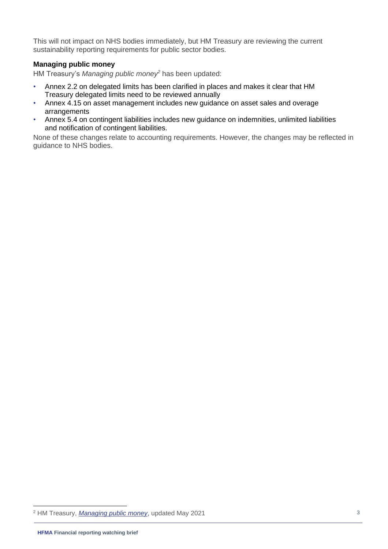This will not impact on NHS bodies immediately, but HM Treasury are reviewing the current sustainability reporting requirements for public sector bodies.

#### **Managing public money**

HM Treasury's *Managing public money<sup>2</sup>* has been updated:

- Annex 2.2 on delegated limits has been clarified in places and makes it clear that HM Treasury delegated limits need to be reviewed annually
- Annex 4.15 on asset management includes new guidance on asset sales and overage arrangements
- Annex 5.4 on contingent liabilities includes new guidance on indemnities, unlimited liabilities and notification of contingent liabilities.

None of these changes relate to accounting requirements. However, the changes may be reflected in guidance to NHS bodies.

<sup>2</sup> HM Treasury, *[Managing public money](https://www.gov.uk/government/publications/managing-public-money)*, updated May 2021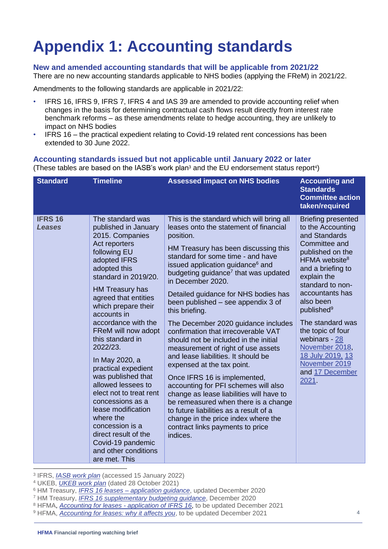# <span id="page-3-0"></span>**Appendix 1: Accounting standards**

#### **New and amended accounting standards that will be applicable from 2021/22**

There are no new accounting standards applicable to NHS bodies (applying the FReM) in 2021/22.

Amendments to the following standards are applicable in 2021/22:

- IFRS 16, IFRS 9, IFRS 7, IFRS 4 and IAS 39 are amended to provide accounting relief when changes in the basis for determining contractual cash flows result directly from interest rate benchmark reforms – as these amendments relate to hedge accounting, they are unlikely to impact on NHS bodies
- IFRS 16 the practical expedient relating to Covid-19 related rent concessions has been extended to 30 June 2022.

#### **Accounting standards issued but not applicable until January 2022 or later**

(These tables are based on the IASB's work plan<sup>3</sup> and the EU endorsement status report<sup>4</sup>)

| <b>Standard</b>                 | <b>Timeline</b>                                                                                                                                                                                                                                                                                                                                                                                                                                                                                                                                                                                     | <b>Assessed impact on NHS bodies</b>                                                                                                                                                                                                                                                                                                                                                                                                                                                                                                                                                                                                                                                                                                                                                                                                                                                                                                  | <b>Accounting and</b><br><b>Standards</b><br><b>Committee action</b><br>taken/required                                                                                                                                                                                                                                                                                                                  |
|---------------------------------|-----------------------------------------------------------------------------------------------------------------------------------------------------------------------------------------------------------------------------------------------------------------------------------------------------------------------------------------------------------------------------------------------------------------------------------------------------------------------------------------------------------------------------------------------------------------------------------------------------|---------------------------------------------------------------------------------------------------------------------------------------------------------------------------------------------------------------------------------------------------------------------------------------------------------------------------------------------------------------------------------------------------------------------------------------------------------------------------------------------------------------------------------------------------------------------------------------------------------------------------------------------------------------------------------------------------------------------------------------------------------------------------------------------------------------------------------------------------------------------------------------------------------------------------------------|---------------------------------------------------------------------------------------------------------------------------------------------------------------------------------------------------------------------------------------------------------------------------------------------------------------------------------------------------------------------------------------------------------|
| <b>IFRS 16</b><br><b>Leases</b> | The standard was<br>published in January<br>2015. Companies<br>Act reporters<br>following EU<br>adopted IFRS<br>adopted this<br>standard in 2019/20.<br>HM Treasury has<br>agreed that entities<br>which prepare their<br>accounts in<br>accordance with the<br>FReM will now adopt<br>this standard in<br>2022/23.<br>In May 2020, a<br>practical expedient<br>was published that<br>allowed lessees to<br>elect not to treat rent<br>concessions as a<br>lease modification<br>where the<br>concession is a<br>direct result of the<br>Covid-19 pandemic<br>and other conditions<br>are met. This | This is the standard which will bring all<br>leases onto the statement of financial<br>position.<br>HM Treasury has been discussing this<br>standard for some time - and have<br>issued application guidance <sup>6</sup> and<br>budgeting guidance <sup>7</sup> that was updated<br>in December 2020.<br>Detailed guidance for NHS bodies has<br>been published – see appendix 3 of<br>this briefing.<br>The December 2020 guidance includes<br>confirmation that irrecoverable VAT<br>should not be included in the initial<br>measurement of right of use assets<br>and lease liabilities. It should be<br>expensed at the tax point.<br>Once IFRS 16 is implemented,<br>accounting for PFI schemes will also<br>change as lease liabilities will have to<br>be remeasured when there is a change<br>to future liabilities as a result of a<br>change in the price index where the<br>contract links payments to price<br>indices. | <b>Briefing presented</b><br>to the Accounting<br>and Standards<br>Committee and<br>published on the<br>HFMA website <sup>8</sup><br>and a briefing to<br>explain the<br>standard to non-<br>accountants has<br>also been<br>published <sup>9</sup><br>The standard was<br>the topic of four<br>webinars - 28<br>November 2018,<br><u>18 July 2019, 13</u><br>November 2019<br>and 17 December<br>2021. |

3 IFRS, *[IASB work plan](https://www.ifrs.org/projects/work-plan/)* (accessed 15 January 2022)

<sup>4</sup> UKEB, *[UKEB work plan](https://www.endorsement-board.uk/ukeb-work-plan)* (dated 28 October 2021)

- <sup>7</sup> HM Treasury, *[IFRS 16 supplementary budgeting guidance](https://assets.publishing.service.gov.uk/government/uploads/system/uploads/attachment_data/file/943808/IFRS_16_Leases_-_Supplementary_budgeting_guidance_December_2020_for_publication.pdf)*, December 2020
- <sup>8</sup> HFMA, *[Accounting for leases -](http://www.hfma.org.uk/publications/details/accounting-for-leases-application-of-ifrs-16) application of IFRS 16*, to be updated December 2021
- <sup>9</sup> HFMA, *[Accounting for leases: why it affects you](https://www.hfma.org.uk/publications/details/accounting-for-leases-why-it-affects-you)*, to be updated December 2021

<sup>6</sup> HM Treasury, *IFRS 16 leases – [application guidance](https://assets.publishing.service.gov.uk/government/uploads/system/uploads/attachment_data/file/766835/IFRS_16_Leases_Application_Guidance_final_1912_PDF.pdf)*, updated December 2020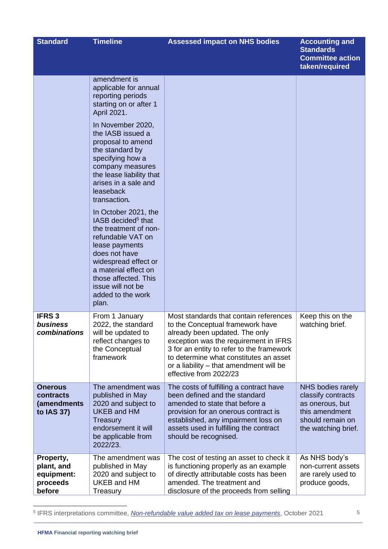| <b>Standard</b>                                             | <b>Timeline</b>                                                                                                                                                                                                                                                    | <b>Assessed impact on NHS bodies</b>                                                                                                                                                                                                                                                                              | <b>Accounting and</b><br><b>Standards</b><br><b>Committee action</b><br>taken/required                                  |
|-------------------------------------------------------------|--------------------------------------------------------------------------------------------------------------------------------------------------------------------------------------------------------------------------------------------------------------------|-------------------------------------------------------------------------------------------------------------------------------------------------------------------------------------------------------------------------------------------------------------------------------------------------------------------|-------------------------------------------------------------------------------------------------------------------------|
|                                                             | amendment is<br>applicable for annual<br>reporting periods<br>starting on or after 1<br>April 2021.                                                                                                                                                                |                                                                                                                                                                                                                                                                                                                   |                                                                                                                         |
|                                                             | In November 2020,<br>the IASB issued a<br>proposal to amend<br>the standard by<br>specifying how a<br>company measures<br>the lease liability that<br>arises in a sale and<br>leaseback<br>transaction.                                                            |                                                                                                                                                                                                                                                                                                                   |                                                                                                                         |
|                                                             | In October 2021, the<br>IASB decided <sup>5</sup> that<br>the treatment of non-<br>refundable VAT on<br>lease payments<br>does not have<br>widespread effect or<br>a material effect on<br>those affected. This<br>issue will not be<br>added to the work<br>plan. |                                                                                                                                                                                                                                                                                                                   |                                                                                                                         |
| <b>IFRS3</b><br>business<br>combinations                    | From 1 January<br>2022, the standard<br>will be updated to<br>reflect changes to<br>the Conceptual<br>framework                                                                                                                                                    | Most standards that contain references<br>to the Conceptual framework have<br>already been updated. The only<br>exception was the requirement in IFRS<br>3 for an entity to refer to the framework<br>to determine what constitutes an asset<br>or a liability - that amendment will be<br>effective from 2022/23 | Keep this on the<br>watching brief.                                                                                     |
| <b>Onerous</b><br>contracts<br>(amendments<br>to IAS 37)    | The amendment was<br>published in May<br>2020 and subject to<br><b>UKEB and HM</b><br>Treasury<br>endorsement it will<br>be applicable from<br>2022/23.                                                                                                            | The costs of fulfilling a contract have<br>been defined and the standard<br>amended to state that before a<br>provision for an onerous contract is<br>established, any impairment loss on<br>assets used in fulfilling the contract<br>should be recognised.                                                      | NHS bodies rarely<br>classify contracts<br>as onerous, but<br>this amendment<br>should remain on<br>the watching brief. |
| Property,<br>plant, and<br>equipment:<br>proceeds<br>before | The amendment was<br>published in May<br>2020 and subject to<br>UKEB and HM<br>Treasury                                                                                                                                                                            | The cost of testing an asset to check it<br>is functioning properly as an example<br>of directly attributable costs has been<br>amended. The treatment and<br>disclosure of the proceeds from selling                                                                                                             | As NHS body's<br>non-current assets<br>are rarely used to<br>produce goods,                                             |

5 IFRS interpretations committee, *[Non-refundable value added tax on lease payments](https://www.ifrs.org/content/dam/ifrs/supporting-implementation/agenda-decisions/2021/ifrs-16-non-refundable-value-added-tax-on-lease-payments.pdf)*, October 2021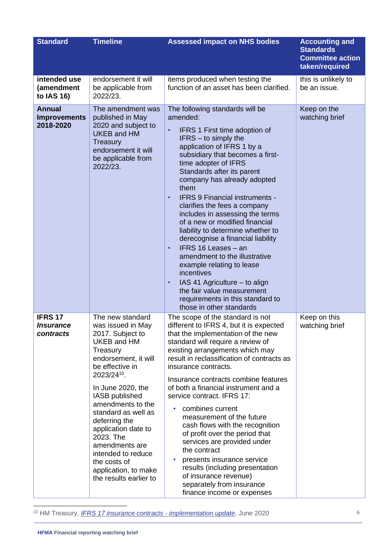| <b>Standard</b>                                        | <b>Timeline</b>                                                                                                                                                                                                                                                                                                                                                                                                     | <b>Assessed impact on NHS bodies</b>                                                                                                                                                                                                                                                                                                                                                                                                                                                                                                                                                                                                                                                                                                                                                | <b>Accounting and</b><br><b>Standards</b><br><b>Committee action</b><br>taken/required |
|--------------------------------------------------------|---------------------------------------------------------------------------------------------------------------------------------------------------------------------------------------------------------------------------------------------------------------------------------------------------------------------------------------------------------------------------------------------------------------------|-------------------------------------------------------------------------------------------------------------------------------------------------------------------------------------------------------------------------------------------------------------------------------------------------------------------------------------------------------------------------------------------------------------------------------------------------------------------------------------------------------------------------------------------------------------------------------------------------------------------------------------------------------------------------------------------------------------------------------------------------------------------------------------|----------------------------------------------------------------------------------------|
| intended use<br>(amendment<br>to IAS 16)               | endorsement it will<br>be applicable from<br>2022/23.                                                                                                                                                                                                                                                                                                                                                               | items produced when testing the<br>function of an asset has been clarified.                                                                                                                                                                                                                                                                                                                                                                                                                                                                                                                                                                                                                                                                                                         | this is unlikely to<br>be an issue.                                                    |
| <b>Annual</b><br><b>Improvements</b><br>2018-2020      | The amendment was<br>published in May<br>2020 and subject to<br><b>UKEB and HM</b><br>Treasury<br>endorsement it will<br>be applicable from<br>2022/23.                                                                                                                                                                                                                                                             | The following standards will be<br>amended:<br>IFRS 1 First time adoption of<br>$\bullet$<br>$IFRS - to simply the$<br>application of IFRS 1 by a<br>subsidiary that becomes a first-<br>time adopter of IFRS<br>Standards after its parent<br>company has already adopted<br>them<br><b>IFRS 9 Financial instruments -</b><br>$\bullet$<br>clarifies the fees a company<br>includes in assessing the terms<br>of a new or modified financial<br>liability to determine whether to<br>derecognise a financial liability<br>IFRS 16 Leases - an<br>$\bullet$<br>amendment to the illustrative<br>example relating to lease<br>incentives<br>IAS 41 Agriculture - to align<br>$\bullet$<br>the fair value measurement<br>requirements in this standard to<br>those in other standards | Keep on the<br>watching brief                                                          |
| <b>IFRS 17</b><br><i><b>Insurance</b></i><br>contracts | The new standard<br>was issued in May<br>2017. Subject to<br><b>UKEB and HM</b><br>Treasury<br>endorsement, it will<br>be effective in<br>2023/24 <sup>10</sup> .<br>In June 2020, the<br>IASB published<br>amendments to the<br>standard as well as<br>deferring the<br>application date to<br>2023. The<br>amendments are<br>intended to reduce<br>the costs of<br>application, to make<br>the results earlier to | The scope of the standard is not<br>different to IFRS 4, but it is expected<br>that the implementation of the new<br>standard will require a review of<br>existing arrangements which may<br>result in reclassification of contracts as<br>insurance contracts.<br>Insurance contracts combine features<br>of both a financial instrument and a<br>service contract. IFRS 17:<br>combines current<br>measurement of the future<br>cash flows with the recognition<br>of profit over the period that<br>services are provided under<br>the contract<br>presents insurance service<br>results (including presentation<br>of insurance revenue)<br>separately from insurance<br>finance income or expenses                                                                             | Keep on this<br>watching brief                                                         |

<sup>10</sup> HM Treasury, *[IFRS 17 insurance contracts -](https://assets.publishing.service.gov.uk/government/uploads/system/uploads/attachment_data/file/940969/FRAB_141__06__IFRS_17_implementation_update.pdf) implementation update*, June 2020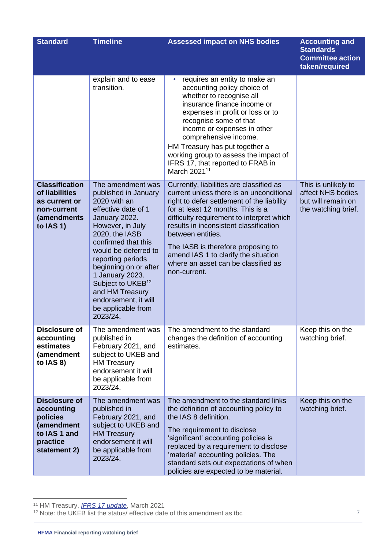| <b>Standard</b>                                                                                          | <b>Timeline</b>                                                                                                                                                                                                                                                                                                                                                       | <b>Assessed impact on NHS bodies</b>                                                                                                                                                                                                                                                                                                                                                                                     | <b>Accounting and</b><br><b>Standards</b><br><b>Committee action</b><br>taken/required |
|----------------------------------------------------------------------------------------------------------|-----------------------------------------------------------------------------------------------------------------------------------------------------------------------------------------------------------------------------------------------------------------------------------------------------------------------------------------------------------------------|--------------------------------------------------------------------------------------------------------------------------------------------------------------------------------------------------------------------------------------------------------------------------------------------------------------------------------------------------------------------------------------------------------------------------|----------------------------------------------------------------------------------------|
|                                                                                                          | explain and to ease<br>transition.                                                                                                                                                                                                                                                                                                                                    | requires an entity to make an<br>accounting policy choice of<br>whether to recognise all<br>insurance finance income or<br>expenses in profit or loss or to<br>recognise some of that<br>income or expenses in other<br>comprehensive income.<br>HM Treasury has put together a<br>working group to assess the impact of<br>IFRS 17, that reported to FRAB in<br>March 2021 <sup>11</sup>                                |                                                                                        |
| <b>Classification</b><br>of liabilities<br>as current or<br>non-current<br>(amendments<br>to IAS 1)      | The amendment was<br>published in January<br>2020 with an<br>effective date of 1<br>January 2022.<br>However, in July<br>2020, the IASB<br>confirmed that this<br>would be deferred to<br>reporting periods<br>beginning on or after<br>1 January 2023.<br>Subject to UKEB <sup>12</sup><br>and HM Treasury<br>endorsement, it will<br>be applicable from<br>2023/24. | Currently, liabilities are classified as<br>current unless there is an unconditional<br>right to defer settlement of the liability<br>for at least 12 months. This is a<br>difficulty requirement to interpret which<br>results in inconsistent classification<br>between entities.<br>The IASB is therefore proposing to<br>amend IAS 1 to clarify the situation<br>where an asset can be classified as<br>non-current. | This is unlikely to<br>affect NHS bodies<br>but will remain on<br>the watching brief.  |
| Disclosure of<br>accounting<br>estimates<br>(amendment<br>to $IAS 8)$                                    | The amendment was<br>published in<br>February 2021, and<br>subject to UKEB and<br><b>HM Treasury</b><br>endorsement it will<br>be applicable from<br>2023/24.                                                                                                                                                                                                         | The amendment to the standard<br>changes the definition of accounting<br>estimates.                                                                                                                                                                                                                                                                                                                                      | Keep this on the<br>watching brief.                                                    |
| <b>Disclosure of</b><br>accounting<br>policies<br>(amendment<br>to IAS 1 and<br>practice<br>statement 2) | The amendment was<br>published in<br>February 2021, and<br>subject to UKEB and<br><b>HM Treasury</b><br>endorsement it will<br>be applicable from<br>2023/24.                                                                                                                                                                                                         | The amendment to the standard links<br>the definition of accounting policy to<br>the IAS 8 definition.<br>The requirement to disclose<br>'significant' accounting policies is<br>replaced by a requirement to disclose<br>'material' accounting policies. The<br>standard sets out expectations of when<br>policies are expected to be material.                                                                         | Keep this on the<br>watching brief.                                                    |

<sup>11</sup> HM Treasury, *[IFRS 17 update](https://assets.publishing.service.gov.uk/government/uploads/system/uploads/attachment_data/file/996859/FRAB_143__08__IFRS_17_Update.pdf)*, March 2021

<sup>&</sup>lt;sup>12</sup> Note: the UKEB list the status/ effective date of this amendment as tbc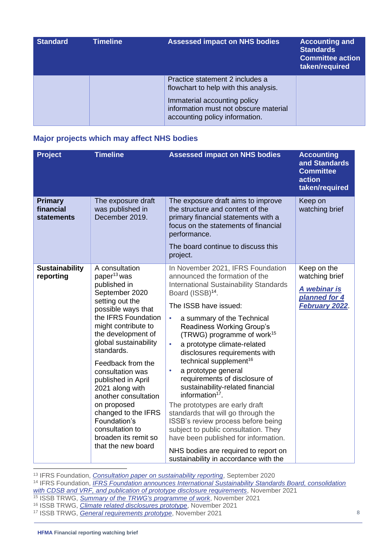| <b>Standard</b> | <b>Timeline</b> | <b>Assessed impact on NHS bodies</b>                                                                                                                                                | <b>Accounting and</b><br><b>Standards</b><br><b>Committee action</b><br>taken/required |
|-----------------|-----------------|-------------------------------------------------------------------------------------------------------------------------------------------------------------------------------------|----------------------------------------------------------------------------------------|
|                 |                 | Practice statement 2 includes a<br>flowchart to help with this analysis.<br>Immaterial accounting policy<br>information must not obscure material<br>accounting policy information. |                                                                                        |

#### **Major projects which may affect NHS bodies**

| <b>Project</b>                            | <b>Timeline</b>                                                                                                                                                                                                                                                                                                                                                                                                                                                  | <b>Assessed impact on NHS bodies</b>                                                                                                                                                                                                                                                                                                                                                                                                                                                                                                                                                                                                                                                                                                                                                                                             | <b>Accounting</b><br>and Standards<br><b>Committee</b><br>action<br>taken/required |
|-------------------------------------------|------------------------------------------------------------------------------------------------------------------------------------------------------------------------------------------------------------------------------------------------------------------------------------------------------------------------------------------------------------------------------------------------------------------------------------------------------------------|----------------------------------------------------------------------------------------------------------------------------------------------------------------------------------------------------------------------------------------------------------------------------------------------------------------------------------------------------------------------------------------------------------------------------------------------------------------------------------------------------------------------------------------------------------------------------------------------------------------------------------------------------------------------------------------------------------------------------------------------------------------------------------------------------------------------------------|------------------------------------------------------------------------------------|
| <b>Primary</b><br>financial<br>statements | The exposure draft<br>was published in<br>December 2019.                                                                                                                                                                                                                                                                                                                                                                                                         | The exposure draft aims to improve<br>the structure and content of the<br>primary financial statements with a<br>focus on the statements of financial<br>performance.<br>The board continue to discuss this<br>project.                                                                                                                                                                                                                                                                                                                                                                                                                                                                                                                                                                                                          | Keep on<br>watching brief                                                          |
| <b>Sustainability</b><br>reporting        | A consultation<br>paper <sup>13</sup> was<br>published in<br>September 2020<br>setting out the<br>possible ways that<br>the IFRS Foundation<br>might contribute to<br>the development of<br>global sustainability<br>standards.<br>Feedback from the<br>consultation was<br>published in April<br>2021 along with<br>another consultation<br>on proposed<br>changed to the IFRS<br>Foundation's<br>consultation to<br>broaden its remit so<br>that the new board | In November 2021, IFRS Foundation<br>announced the formation of the<br><b>International Sustainability Standards</b><br>Board (ISSB) <sup>14</sup> .<br>The ISSB have issued:<br>a summary of the Technical<br>$\bullet$<br>Readiness Working Group's<br>(TRWG) programme of work <sup>15</sup><br>a prototype climate-related<br>$\bullet$<br>disclosures requirements with<br>technical supplement <sup>16</sup><br>a prototype general<br>$\bullet$<br>requirements of disclosure of<br>sustainability-related financial<br>information $17$ .<br>The prototypes are early draft<br>standards that will go through the<br>ISSB's review process before being<br>subject to public consultation. They<br>have been published for information.<br>NHS bodies are required to report on<br>sustainability in accordance with the | Keep on the<br>watching brief<br>A webinar is<br>planned for 4<br>February 2022    |

<sup>13</sup> IFRS Foundation, *[Consultation paper on sustainability reporting](https://www.ifrs.org/projects/work-plan/sustainability-reporting/#published-documents)*, September 2020

<sup>14</sup> IFRS Foundation, *[IFRS Foundation announces International Sustainability Standards Board, consolidation](https://www.ifrs.org/news-and-events/news/2021/11/ifrs-foundation-announces-issb-consolidation-with-cdsb-vrf-publication-of-prototypes/)  [with CDSB and VRF, and publication of prototype disclosure requirements](https://www.ifrs.org/news-and-events/news/2021/11/ifrs-foundation-announces-issb-consolidation-with-cdsb-vrf-publication-of-prototypes/)*, November 2021

- <sup>15</sup> ISSB TRWG, *[Summary of the TRWG's programme of work](https://www.ifrs.org/content/dam/ifrs/groups/trwg/summary-of-the-trwg-work-programme.pdf)*, November 2021
- <sup>16</sup> ISSB TRWG, *[Climate related disclosures prototype](https://www.ifrs.org/content/dam/ifrs/groups/trwg/trwg-climate-related-disclosures-prototype.pdf)*, November 2021

<sup>17</sup> ISSB TRWG, *[General requirements prototype](https://www.ifrs.org/content/dam/ifrs/groups/trwg/trwg-general-requirements-prototype.pdf)*, November 2021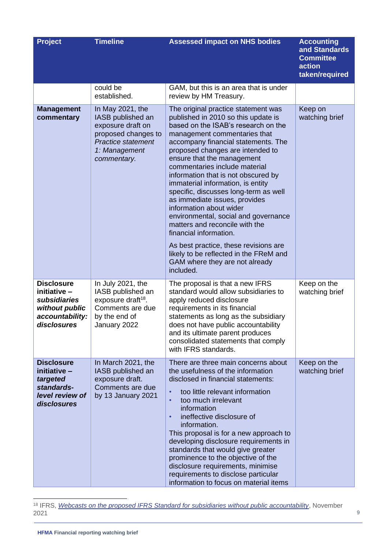| <b>Project</b>                                                                                        | <b>Timeline</b>                                                                                                                                | <b>Assessed impact on NHS bodies</b>                                                                                                                                                                                                                                                                                                                                                                                                                                                                                                                                                                                      | <b>Accounting</b><br>and Standards<br><b>Committee</b><br>action<br>taken/required |
|-------------------------------------------------------------------------------------------------------|------------------------------------------------------------------------------------------------------------------------------------------------|---------------------------------------------------------------------------------------------------------------------------------------------------------------------------------------------------------------------------------------------------------------------------------------------------------------------------------------------------------------------------------------------------------------------------------------------------------------------------------------------------------------------------------------------------------------------------------------------------------------------------|------------------------------------------------------------------------------------|
|                                                                                                       | could be<br>established.                                                                                                                       | GAM, but this is an area that is under<br>review by HM Treasury.                                                                                                                                                                                                                                                                                                                                                                                                                                                                                                                                                          |                                                                                    |
| <b>Management</b><br>commentary                                                                       | In May 2021, the<br>IASB published an<br>exposure draft on<br>proposed changes to<br><b>Practice statement</b><br>1: Management<br>commentary. | The original practice statement was<br>published in 2010 so this update is<br>based on the ISAB's research on the<br>management commentaries that<br>accompany financial statements. The<br>proposed changes are intended to<br>ensure that the management<br>commentaries include material<br>information that is not obscured by<br>immaterial information, is entity<br>specific, discusses long-term as well<br>as immediate issues, provides<br>information about wider<br>environmental, social and governance<br>matters and reconcile with the<br>financial information.<br>As best practice, these revisions are | Keep on<br>watching brief                                                          |
|                                                                                                       |                                                                                                                                                | likely to be reflected in the FReM and<br>GAM where they are not already<br>included.                                                                                                                                                                                                                                                                                                                                                                                                                                                                                                                                     |                                                                                    |
| <b>Disclosure</b><br>initiative -<br>subsidiaries<br>without public<br>accountability:<br>disclosures | In July 2021, the<br>IASB published an<br>exposure draft <sup>18</sup> .<br>Comments are due<br>by the end of<br>January 2022                  | The proposal is that a new IFRS<br>standard would allow subsidiaries to<br>apply reduced disclosure<br>requirements in its financial<br>statements as long as the subsidiary<br>does not have public accountability<br>and its ultimate parent produces<br>consolidated statements that comply<br>with IFRS standards.                                                                                                                                                                                                                                                                                                    | Keep on the<br>watching brief                                                      |
| <b>Disclosure</b><br>initiative -<br>targeted<br>standards-<br>level review of<br>disclosures         | In March 2021, the<br>IASB published an<br>exposure draft.<br>Comments are due<br>by 13 January 2021                                           | There are three main concerns about<br>the usefulness of the information<br>disclosed in financial statements:<br>too little relevant information<br>$\bullet$<br>too much irrelevant<br>$\bullet$<br>information<br>ineffective disclosure of<br>$\bullet$<br>information.<br>This proposal is for a new approach to<br>developing disclosure requirements in<br>standards that would give greater<br>prominence to the objective of the<br>disclosure requirements, minimise<br>requirements to disclose particular<br>information to focus on material items                                                           | Keep on the<br>watching brief                                                      |

<sup>18</sup> IFRS, *[Webcasts on the proposed IFRS Standard for subsidiaries without public accountability](https://www.ifrs.org/projects/work-plan/subsidiaries-smes/webcasts-proposed-ifrs-standard-for-subsidiaries-without-public-accountability/)*, November 2021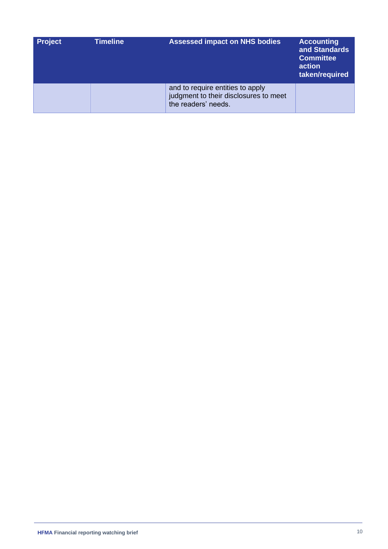| <b>Project</b> | <b>Timeline</b> | <b>Assessed impact on NHS bodies</b>                                                             | <b>Accounting</b><br>and Standards<br><b>Committee</b><br>action<br>taken/required |
|----------------|-----------------|--------------------------------------------------------------------------------------------------|------------------------------------------------------------------------------------|
|                |                 | and to require entities to apply<br>judgment to their disclosures to meet<br>the readers' needs. |                                                                                    |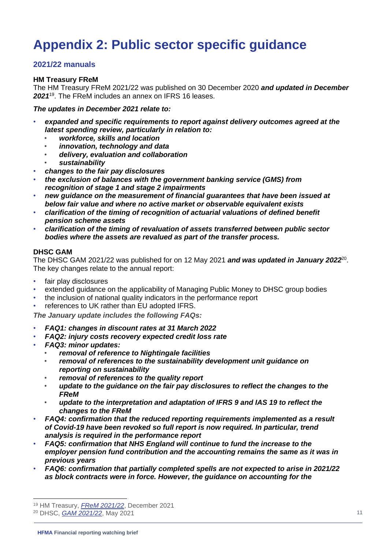# <span id="page-10-0"></span>**Appendix 2: Public sector specific guidance**

#### **2021/22 manuals**

#### **HM Treasury FReM**

The HM Treasury FReM 2021/22 was published on 30 December 2020 *and updated in December 2021*<sup>19</sup> . The FReM includes an annex on IFRS 16 leases.

*The updates in December 2021 relate to:*

- *expanded and specific requirements to report against delivery outcomes agreed at the latest spending review, particularly in relation to:*
	- *workforce, skills and location*
	- *innovation, technology and data*
	- *delivery, evaluation and collaboration*
	- *sustainability*
- *changes to the fair pay disclosures*
- *the exclusion of balances with the government banking service (GMS) from recognition of stage 1 and stage 2 impairments*
- *new guidance on the measurement of financial guarantees that have been issued at below fair value and where no active market or observable equivalent exists*
- *clarification of the timing of recognition of actuarial valuations of defined benefit pension scheme assets*
- *clarification of the timing of revaluation of assets transferred between public sector bodies where the assets are revalued as part of the transfer process.*

#### **DHSC GAM**

The DHSC GAM 2021/22 was published for on 12 May 2021 **and was updated in January 2022**<sup>20</sup>. The key changes relate to the annual report:

- fair play disclosures
- extended guidance on the applicability of Managing Public Money to DHSC group bodies
- the inclusion of national quality indicators in the performance report
- references to UK rather than EU adopted IFRS.

*The January update includes the following FAQs:*

- *FAQ1: changes in discount rates at 31 March 2022*
- *FAQ2: injury costs recovery expected credit loss rate*
- *FAQ3: minor updates:*
	- *removal of reference to Nightingale facilities*
	- *removal of references to the sustainability development unit guidance on reporting on sustainability*
	- *removal of references to the quality report*
	- *update to the guidance on the fair pay disclosures to reflect the changes to the FReM*
	- *update to the interpretation and adaptation of IFRS 9 and IAS 19 to reflect the changes to the FReM*
- *FAQ4: confirmation that the reduced reporting requirements implemented as a result of Covid-19 have been revoked so full report is now required. In particular, trend analysis is required in the performance report*
- *FAQ5: confirmation that NHS England will continue to fund the increase to the employer pension fund contribution and the accounting remains the same as it was in previous years*
- *FAQ6: confirmation that partially completed spells are not expected to arise in 2021/22 as block contracts were in force. However, the guidance on accounting for the*

<sup>19</sup> HM Treasury, *[FReM 2021/22](https://www.gov.uk/government/publications/government-financial-reporting-manual-2021-22)*, December 2021

<sup>20</sup> DHSC, *[GAM 2021/22](https://www.gov.uk/government/publications/dhsc-group-accounting-manual-2021-to-2022)*, May 2021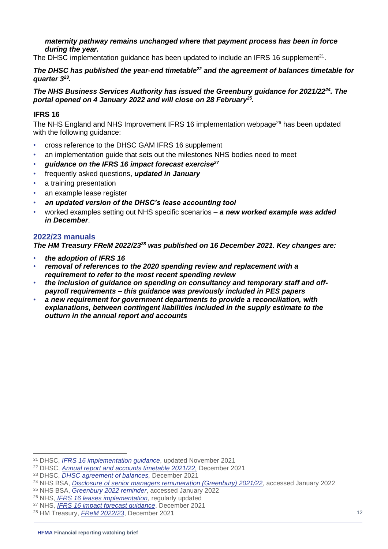#### *maternity pathway remains unchanged where that payment process has been in force during the year.*

The DHSC implementation guidance has been updated to include an IFRS 16 supplement<sup>21</sup>.

#### *The DHSC has published the year-end timetable<sup>22</sup> and the agreement of balances timetable for quarter 3<sup>23</sup> .*

#### *The NHS Business Services Authority has issued the Greenbury guidance for 2021/22<sup>24</sup>. The portal opened on 4 January 2022 and will close on 28 February<sup>25</sup> .*

#### **IFRS 16**

The NHS England and NHS Improvement IFRS 16 implementation webpage $^{26}$  has been updated with the following guidance:

- cross reference to the DHSC GAM IFRS 16 supplement
- an implementation guide that sets out the milestones NHS bodies need to meet
- *guidance on the IFRS 16 impact forecast exercise<sup>27</sup>*
- frequently asked questions, *updated in January*
- a training presentation
- an example lease register
- *an updated version of the DHSC's lease accounting tool*
- worked examples setting out NHS specific scenarios *a new worked example was added in December*.

#### **2022/23 manuals**

*The HM Treasury FReM 2022/23<sup>28</sup> was published on 16 December 2021. Key changes are:*

- *the adoption of IFRS 16*
- *removal of references to the 2020 spending review and replacement with a requirement to refer to the most recent spending review*
- *the inclusion of guidance on spending on consultancy and temporary staff and offpayroll requirements – this guidance was previously included in PES papers*
- *a new requirement for government departments to provide a reconciliation, with explanations, between contingent liabilities included in the supply estimate to the outturn in the annual report and accounts*

<sup>25</sup> NHS BSA, *[Greenbury 2022 reminder](https://www.nhsbsa.nhs.uk/greenbury-2022-reminder)*, accessed January 2022

<sup>21</sup> DHSC, *[IFRS 16 implementation guidance](https://www.gov.uk/government/publications/dhsc-ifrs-16-implementation-guidance)*, updated November 2021

<sup>22</sup> DHSC, *[Annual report and accounts timetable 2021/22,](https://www.gov.uk/government/publications/department-of-health-annual-report-and-accounts-timetable/annual-report-and-accounts-timetable-2018-to-2019)* December 2021

<sup>23</sup> DHSC, *[DHSC agreement of balances,](https://www.gov.uk/government/publications/the-department-of-health-agreement-of-balances#full-publication-update-history)* December 2021

<sup>24</sup> NHS BSA, *[Disclosure of senior managers remuneration \(Greenbury\) 2021/22](https://view.officeapps.live.com/op/view.aspx?src=https%3A%2F%2Fwww.nhsbsa.nhs.uk%2Fsites%2Fdefault%2Ffiles%2F2021-11%2FDisclosure%2520of%2520Senior%2520Managers%2520Remuneration%2520%2528Greenbury%2529%25202022-20211118-%2528V1%2529.docx&wdOrigin=BROWSELINK)*, accessed January 2022

<sup>26</sup> NHS, *[IFRS 16 leases implementation](https://www.england.nhs.uk/financial-accounting-and-reporting/ifrs-16/)*, regularly updated

<sup>27</sup> NHS, *[IFRS 16 impact forecast guidance](https://www.england.nhs.uk/wp-content/uploads/2021/12/IFRS-16-impact-forecast-guidance.pdf)*, December 2021

<sup>28</sup> HM Treasury, *[FReM 2022/23](https://www.gov.uk/government/publications/government-financial-reporting-manual-2022-23)*, December 2021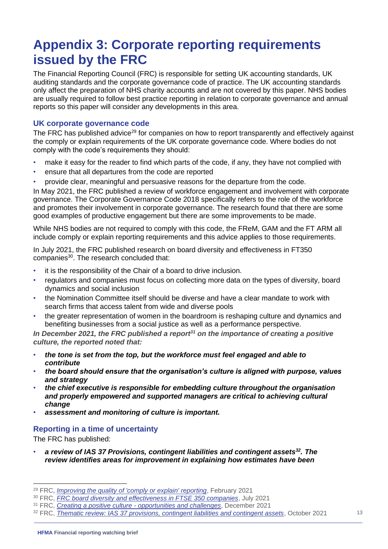## <span id="page-12-0"></span>**Appendix 3: Corporate reporting requirements issued by the FRC**

The Financial Reporting Council (FRC) is responsible for setting UK accounting standards, UK auditing standards and the corporate governance code of practice. The UK accounting standards only affect the preparation of NHS charity accounts and are not covered by this paper. NHS bodies are usually required to follow best practice reporting in relation to corporate governance and annual reports so this paper will consider any developments in this area.

#### **UK corporate governance code**

The FRC has published advice<sup>29</sup> for companies on how to report transparently and effectively against the comply or explain requirements of the UK corporate governance code. Where bodies do not comply with the code's requirements they should:

- make it easy for the reader to find which parts of the code, if any, they have not complied with
- ensure that all departures from the code are reported
- provide clear, meaningful and persuasive reasons for the departure from the code.

In May 2021, the FRC published a review of workforce engagement and involvement with corporate governance. The Corporate Governance Code 2018 specifically refers to the role of the workforce and promotes their involvement in corporate governance. The research found that there are some good examples of productive engagement but there are some improvements to be made.

While NHS bodies are not required to comply with this code, the FReM, GAM and the FT ARM all include comply or explain reporting requirements and this advice applies to those requirements.

In July 2021, the FRC published research on board diversity and effectiveness in FT350 companies<sup>30</sup>. The research concluded that:

- it is the responsibility of the Chair of a board to drive inclusion.
- regulators and companies must focus on collecting more data on the types of diversity, board dynamics and social inclusion
- the Nomination Committee itself should be diverse and have a clear mandate to work with search firms that access talent from wide and diverse pools
- the greater representation of women in the boardroom is reshaping culture and dynamics and benefiting businesses from a social justice as well as a performance perspective.

*In December 2021, the FRC published a report<sup>31</sup> on the importance of creating a positive culture, the reported noted that:*

- *the tone is set from the top, but the workforce must feel engaged and able to contribute*
- *the board should ensure that the organisation's culture is aligned with purpose, values and strategy*
- *the chief executive is responsible for embedding culture throughout the organisation and properly empowered and supported managers are critical to achieving cultural change*
- *assessment and monitoring of culture is important.*

#### **Reporting in a time of uncertainty**

The FRC has published:

• *a review of IAS 37 Provisions, contingent liabilities and contingent assets<sup>32</sup>. The review identifies areas for improvement in explaining how estimates have been* 

<sup>29</sup> FRC, *[Improving the quality of 'comply or explain' reporting](https://www.frc.org.uk/news/february-2021/frc-encourages-more-transparency-when-reporting-ag)*, February 2021

<sup>30</sup> FRC, *[FRC board diversity and effectiveness in FTSE 350 companies](https://www.frc.org.uk/getattachment/3cc05eae-2024-45d8-b14c-abb2ac7497aa/FRC-Board-Diversity-and-Effectiveness-in-FTSE-350-Companies.pdf)*, July 2021

<sup>31</sup> FRC, *Creating a positive culture - [opportunities and challenges](https://www.frc.org.uk/news/december-2021-(1)/the-pandemic-has-reinforced-the-need-for-a-positiv)*, December 2021

<sup>32</sup> FRC, *[Thematic review: IAS 37 provisions, contingent liabilities and contingent assets](https://www.frc.org.uk/getattachment/d7386e32-190f-4599-b763-6fe7c702f579/FRC-Thematic-Report-IAS37_October-2021.pdf)*, October 2021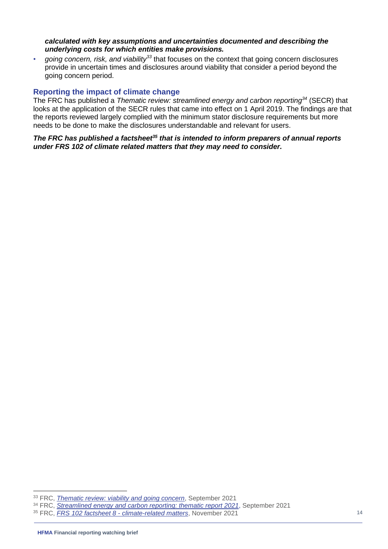#### *calculated with key assumptions and uncertainties documented and describing the underlying costs for which entities make provisions.*

• *going concern, risk, and viability<sup>33</sup>* that focuses on the context that going concern disclosures provide in uncertain times and disclosures around viability that consider a period beyond the going concern period.

#### **Reporting the impact of climate change**

The FRC has published a *Thematic review: streamlined energy and carbon reporting<sup>34</sup>* (SECR) that looks at the application of the SECR rules that came into effect on 1 April 2019. The findings are that the reports reviewed largely complied with the minimum stator disclosure requirements but more needs to be done to make the disclosures understandable and relevant for users.

*The FRC has published a factsheet<sup>35</sup> that is intended to inform preparers of annual reports under FRS 102 of climate related matters that they may need to consider.*

<sup>33</sup> FRC, *[Thematic review: viability and going concern](https://www.frc.org.uk/news/september-2021/frc-publishes-review-findings-on-companies-viabili)*, September 2021

<sup>34</sup> FRC, *[Streamlined energy and carbon reporting: thematic report 2021](https://www.frc.org.uk/getattachment/4d7be3a3-5b3a-4ada-8af0-913e83db6335/FRC-SECR-Thematic-Report-2021.pdf)*, September 2021

<sup>35</sup> FRC, *FRS 102 factsheet 8 - [climate-related matters](https://www.frc.org.uk/getattachment/63c18c7a-6f3d-42a8-9f6c-ce181c8f287a/Fact-Sheet-8-FRS-102-Climate-FINAL.pdf)*, November 2021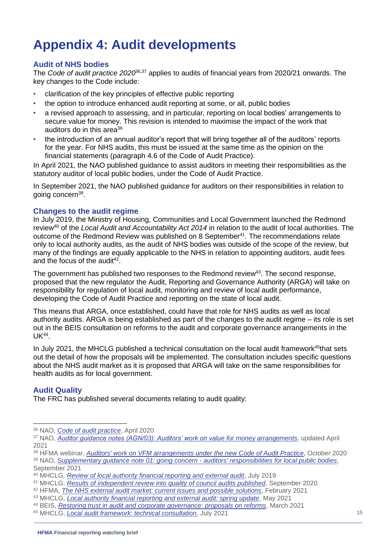# **Appendix 4: Audit developments**

#### **Audit of NHS bodies**

The *Code of audit practice 2020*36,37 applies to audits of financial years from 2020/21 onwards. The key changes to the Code include:

- clarification of the key principles of effective public reporting
- the option to introduce enhanced audit reporting at some, or all, public bodies
- a revised approach to assessing, and in particular, reporting on local bodies' arrangements to secure value for money. This revision is intended to maximise the impact of the work that auditors do in this area<sup>38</sup>
- the introduction of an annual auditor's report that will bring together all of the auditors' reports for the year. For NHS audits, this must be issued at the same time as the opinion on the financial statements (paragraph 4.6 of the Code of Audit Practice).

In April 2021, the NAO published guidance to assist auditors in meeting their responsibilities as the statutory auditor of local public bodies, under the Code of Audit Practice.

In September 2021, the NAO published guidance for auditors on their responsibilities in relation to going concern<sup>39</sup>.

#### **Changes to the audit regime**

In July 2019, the Ministry of Housing, Communities and Local Government launched the Redmond review<sup>40</sup> of the *Local Audit and Accountability Act 2014* in relation to the audit of local authorities. The outcome of the Redmond Review was published on 8 September<sup>41</sup>. The recommendations relate only to local authority audits, as the audit of NHS bodies was outside of the scope of the review, but many of the findings are equally applicable to the NHS in relation to appointing auditors, audit fees and the focus of the audit $42$ .

The government has published two responses to the Redmond review<sup>43</sup>. The second response, proposed that the new regulator the Audit, Reporting and Governance Authority (ARGA) will take on responsibility for regulation of local audit, monitoring and review of local audit performance, developing the Code of Audit Practice and reporting on the state of local audit.

This means that ARGA, once established, could have that role for NHS audits as well as local authority audits. ARGA is being established as part of the changes to the audit regime – its role is set out in the BEIS consultation on reforms to the audit and corporate governance arrangements in the UK<sup>44</sup> .

In July 2021, the MHCLG published a technical consultation on the local audit framework<sup>45</sup>that sets out the detail of how the proposals will be implemented. The consultation includes specific questions about the NHS audit market as it is proposed that ARGA will take on the same responsibilities for health audits as for local government.

#### **Audit Quality**

The FRC has published several documents relating to audit quality:

<sup>36</sup> NAO, *[Code of audit practice](https://www.nao.org.uk/code-audit-practice/wp-content/uploads/sites/29/2020/01/Code_of_audit_practice_2020.pdf)*, April 2020

<sup>37</sup> NAO, *[Auditor guidance notes \(AGN/03\): Auditors' work on](https://www.nao.org.uk/code-audit-practice/guidance-and-information-for-auditors/) value for money arrangements*, updated April 2021

<sup>38</sup> HFMA webinar, *[Auditors' work on VFM arrangements under the new Code of Audit Practice](https://www.hfma.org.uk/education-events/hfma-event/auditors)*, October 2020 <sup>39</sup> NAO, *[Supplementary guidance note 01: going concern -](https://www.nao.org.uk/code-audit-practice/wp-content/uploads/sites/29/2021/09/SGN-01-Going-Concern-Final-07-Sept-2021.pdf) auditors' responsibilities for local public bodies*,

September 2021

<sup>40</sup> MHCLG*, [Review of local authority financial reporting and external audit](https://www.gov.uk/government/publications/review-of-local-authority-financial-reporting-and-external-audit-terms-of-reference)*, July 2019

<sup>41</sup> MHCLG, *[Results of independent review into quality of council audits published](https://www.gov.uk/government/news/results-of-independent-review-into-quality-of-council-audits-published)*, September 2020

<sup>42</sup> HFMA, *[The NHS external audit market: current issues and possible solutions](https://www.hfma.org.uk/publications/details/the-nhs-external-audit-market-current-issues-and-possible-solutions)*, February 2021

<sup>43</sup> MHCLG, *[Local authority financial reporting and external audit: spring update](https://www.gov.uk/government/publications/local-authority-financial-reporting-and-external-audit-spring-update)*, May 2021

<sup>44</sup> BEIS, *[Restoring trust in audit and corporate governance: proposals on reforms](https://www.gov.uk/government/consultations/restoring-trust-in-audit-and-corporate-governance-proposals-on-reforms)*, March 2021

<sup>45</sup> MHCLG, *[Local audit framework: technical consultation](https://www.gov.uk/government/consultations/local-audit-framework-technical-consultation/local-audit-framework-technical-consultation)*, July 2021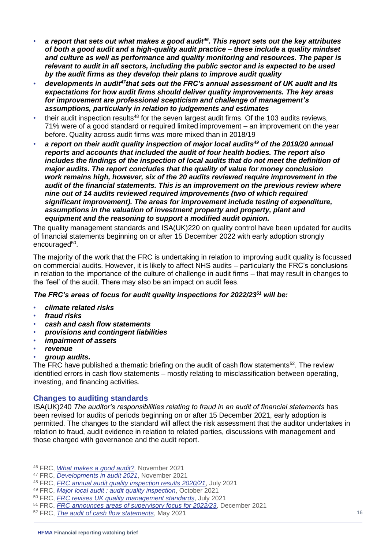- *a report that sets out what makes a good audit<sup>46</sup>. This report sets out the key attributes of both a good audit and a high-quality audit practice – these include a quality mindset and culture as well as performance and quality monitoring and resources. The paper is relevant to audit in all sectors, including the public sector and is expected to be used by the audit firms as they develop their plans to improve audit quality*
- *developments in audit<sup>47</sup>that sets out the FRC's annual assessment of UK audit and its expectations for how audit firms should deliver quality improvements. The key areas for improvement are professional scepticism and challenge of management's assumptions, particularly in relation to judgements and estimates*
- their audit inspection results<sup>48</sup> for the seven largest audit firms. Of the 103 audits reviews, 71% were of a good standard or required limited improvement – an improvement on the year before. Quality across audit firms was more mixed than in 2018/19
- *a report on their audit quality inspection of major local audits<sup>49</sup> of the 2019/20 annual reports and accounts that included the audit of four health bodies. The report also*  includes the findings of the inspection of local audits that do not meet the definition of *major audits. The report concludes that the quality of value for money conclusion work remains high, however, six of the 20 audits reviewed require improvement in the audit of the financial statements. This is an improvement on the previous review where nine out of 14 audits reviewed required improvements (two of which required significant improvement). The areas for improvement include testing of expenditure, assumptions in the valuation of investment property and property, plant and equipment and the reasoning to support a modified audit opinion.*

The quality management standards and ISA(UK)220 on quality control have been updated for audits of financial statements beginning on or after 15 December 2022 with early adoption strongly encouraged<sup>50</sup>.

The majority of the work that the FRC is undertaking in relation to improving audit quality is focussed on commercial audits. However, it is likely to affect NHS audits – particularly the FRC's conclusions in relation to the importance of the culture of challenge in audit firms – that may result in changes to the 'feel' of the audit. There may also be an impact on audit fees.

#### *The FRC's areas of focus for audit quality inspections for 2022/23<sup>51</sup> will be:*

- *climate related risks*
- *fraud risks*
- *cash and cash flow statements*
- *provisions and contingent liabilities*
- *impairment of assets*
- *revenue*

#### • *group audits.*

The FRC have published a thematic briefing on the audit of cash flow statements<sup>52</sup>. The review identified errors in cash flow statements – mostly relating to misclassification between operating, investing, and financing activities.

#### **Changes to auditing standards**

ISA(UK)240 *The auditor's responsibilities relating to fraud in an audit of financial statements* has been revised for audits of periods beginning on or after 15 December 2021, early adoption is permitted. The changes to the standard will affect the risk assessment that the auditor undertakes in relation to fraud, audit evidence in relation to related parties, discussions with management and those charged with governance and the audit report.

<sup>46</sup> FRC, *[What makes a good audit?,](https://www.frc.org.uk/getattachment/117a5689-057a-4591-b646-32cd6cd5a70a/What-Makes-a-Good-Audit-15-11-21.pdf)* November 2021

<sup>47</sup> FRC, *[Developments in audit 2021](https://www.frc.org.uk/news/november-2021/frc-publishes-latest-edition-of-developments-in-au)*, November 2021

<sup>48</sup> FRC, *[FRC annual audit quality inspection results 2020/21](https://www.frc.org.uk/news/july-2021/frc-annual-audit-quality-inspection-results-2020-2)*, July 2021

<sup>49</sup> FRC, *[Major local audit : audit quality inspection](https://www.frc.org.uk/getattachment/97b5a417-d9bf-4649-b3c3-3ae49a350fe7/FRC-AQR-Major-Local-Audits_October-2021.pdf)*, October 2021

<sup>50</sup> FRC, *[FRC revises UK quality management standards](https://www.frc.org.uk/news/july-2021/frc-revises-uk-quality-management-standards)*, July 2021

<sup>51</sup> FRC, *[FRC announces areas of supervisory focus for 2022/23](https://www.frc.org.uk/news/december-2021-(1)/frc-announces-areas-of-supervisory-focus)*, December 2021

<sup>52</sup> FRC, *[The audit of cash flow statements](https://www.frc.org.uk/getattachment/210aafc1-5b1c-49a2-8a12-884b0654fff8/FRC-Audit-of-Cashflow-Statements-FINAL.pdf)*, May 2021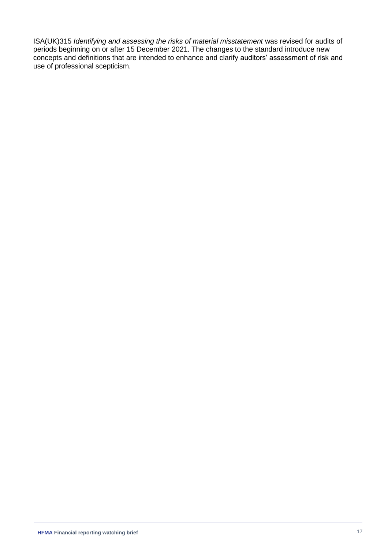ISA(UK)315 *Identifying and assessing the risks of material misstatement* was revised for audits of periods beginning on or after 15 December 2021. The changes to the standard introduce new concepts and definitions that are intended to enhance and clarify auditors' assessment of risk and use of professional scepticism.